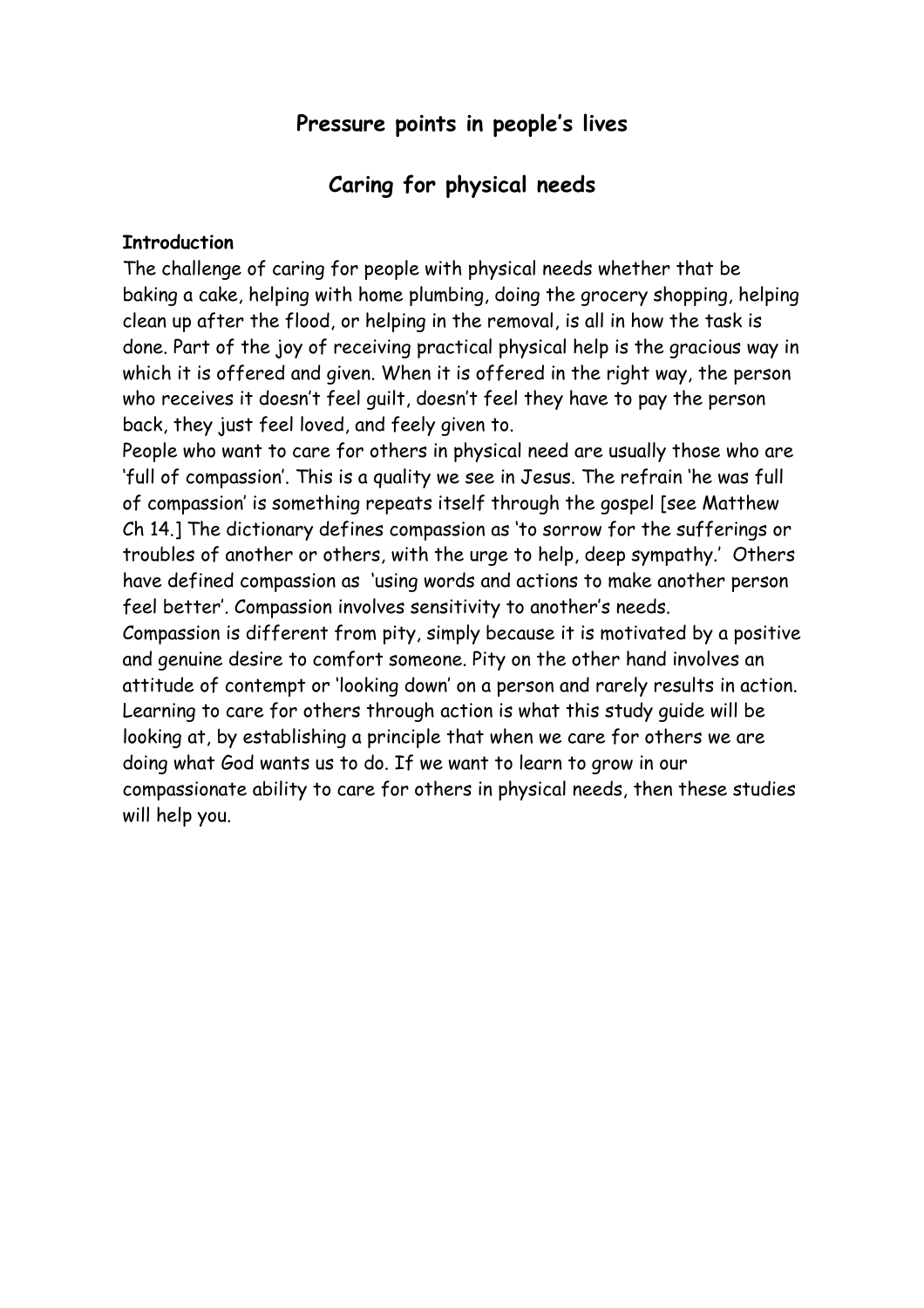# **Pressure points in people's lives**

## **Caring for physical needs**

#### **Introduction**

The challenge of caring for people with physical needs whether that be baking a cake, helping with home plumbing, doing the grocery shopping, helping clean up after the flood, or helping in the removal, is all in how the task is done. Part of the joy of receiving practical physical help is the gracious way in which it is offered and given. When it is offered in the right way, the person who receives it doesn't feel guilt, doesn't feel they have to pay the person back, they just feel loved, and feely given to.

People who want to care for others in physical need are usually those who are 'full of compassion'. This is a quality we see in Jesus. The refrain 'he was full of compassion' is something repeats itself through the gospel [see Matthew Ch 14.] The dictionary defines compassion as 'to sorrow for the sufferings or troubles of another or others, with the urge to help, deep sympathy.' Others have defined compassion as 'using words and actions to make another person feel better'. Compassion involves sensitivity to another's needs.

Compassion is different from pity, simply because it is motivated by a positive and genuine desire to comfort someone. Pity on the other hand involves an attitude of contempt or 'looking down' on a person and rarely results in action. Learning to care for others through action is what this study guide will be looking at, by establishing a principle that when we care for others we are doing what God wants us to do. If we want to learn to grow in our compassionate ability to care for others in physical needs, then these studies will help you.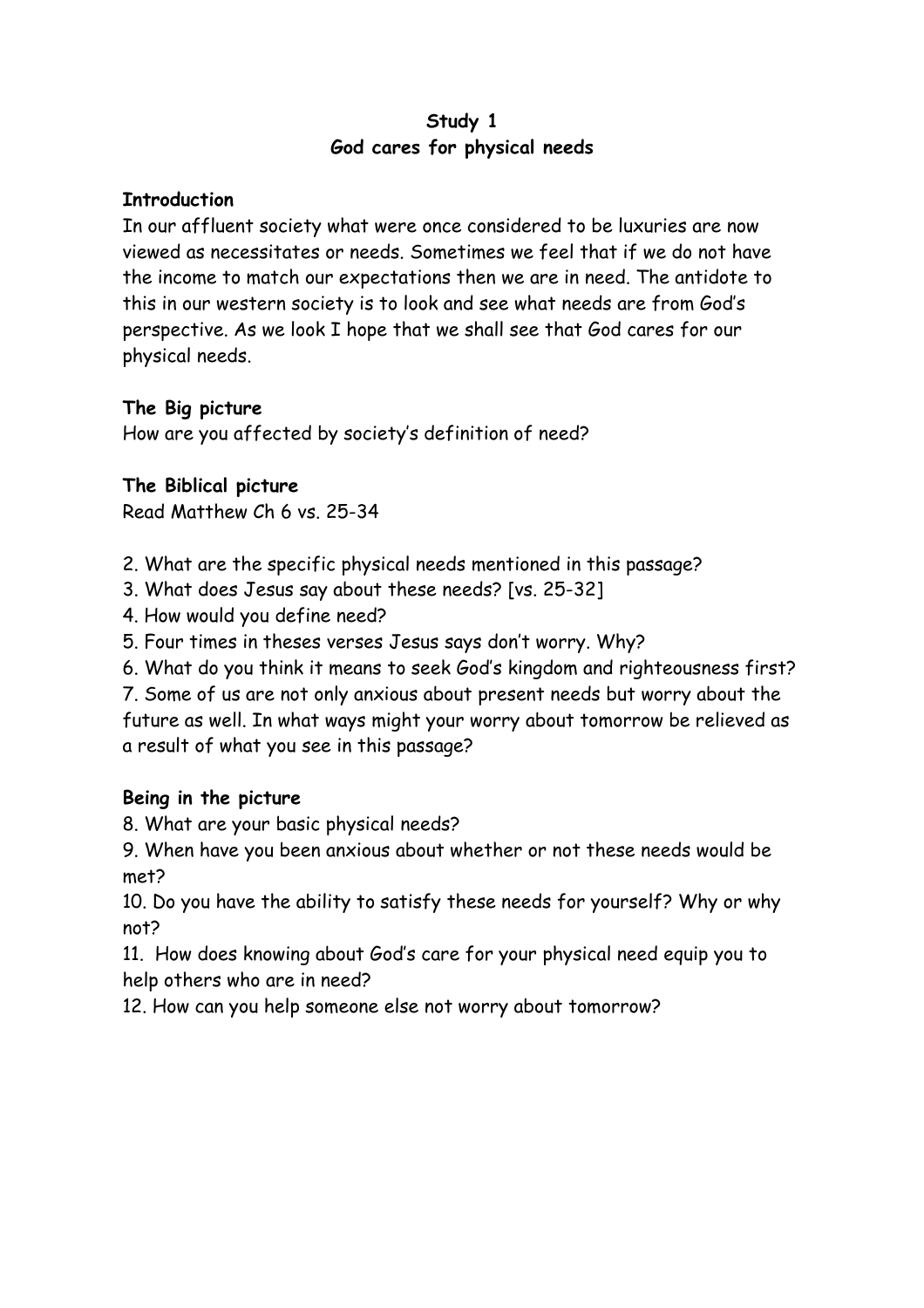#### **Study 1 God cares for physical needs**

#### **Introduction**

In our affluent society what were once considered to be luxuries are now viewed as necessitates or needs. Sometimes we feel that if we do not have the income to match our expectations then we are in need. The antidote to this in our western society is to look and see what needs are from God's perspective. As we look I hope that we shall see that God cares for our physical needs.

### **The Big picture**

How are you affected by society's definition of need?

### **The Biblical picture**

Read Matthew Ch 6 vs. 25-34

- 2. What are the specific physical needs mentioned in this passage?
- 3. What does Jesus say about these needs? [vs. 25-32]
- 4. How would you define need?
- 5. Four times in theses verses Jesus says don't worry. Why?
- 6. What do you think it means to seek God's kingdom and righteousness first?

7. Some of us are not only anxious about present needs but worry about the future as well. In what ways might your worry about tomorrow be relieved as a result of what you see in this passage?

### **Being in the picture**

8. What are your basic physical needs?

9. When have you been anxious about whether or not these needs would be met?

10. Do you have the ability to satisfy these needs for yourself? Why or why not?

11. How does knowing about God's care for your physical need equip you to help others who are in need?

12. How can you help someone else not worry about tomorrow?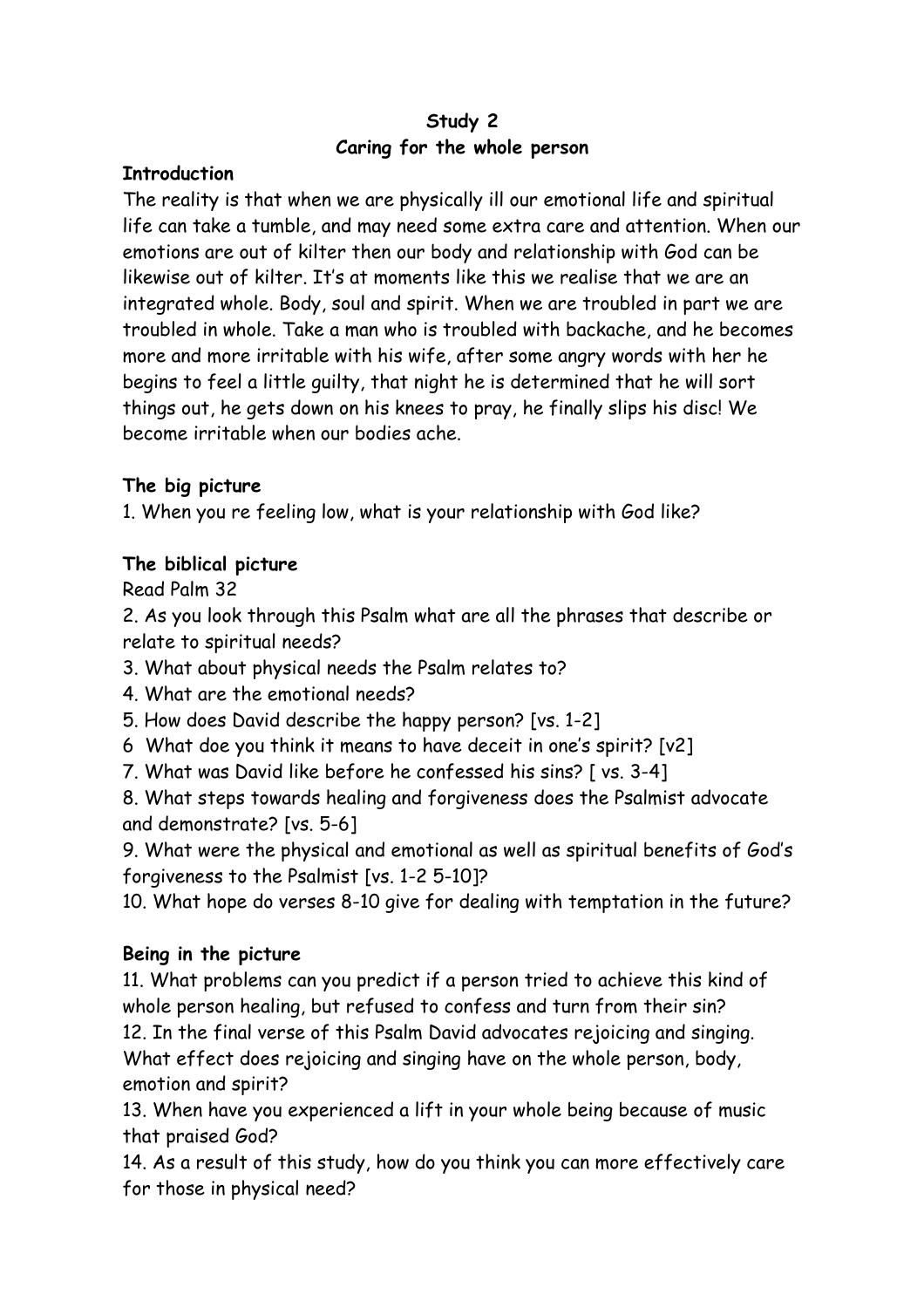### **Study 2 Caring for the whole person**

### **Introduction**

The reality is that when we are physically ill our emotional life and spiritual life can take a tumble, and may need some extra care and attention. When our emotions are out of kilter then our body and relationship with God can be likewise out of kilter. It's at moments like this we realise that we are an integrated whole. Body, soul and spirit. When we are troubled in part we are troubled in whole. Take a man who is troubled with backache, and he becomes more and more irritable with his wife, after some angry words with her he begins to feel a little guilty, that night he is determined that he will sort things out, he gets down on his knees to pray, he finally slips his disc! We become irritable when our bodies ache.

### **The big picture**

1. When you re feeling low, what is your relationship with God like?

### **The biblical picture**

Read Palm 32

2. As you look through this Psalm what are all the phrases that describe or relate to spiritual needs?

3. What about physical needs the Psalm relates to?

4. What are the emotional needs?

5. How does David describe the happy person? [vs. 1-2]

6 What doe you think it means to have deceit in one's spirit? [v2]

7. What was David like before he confessed his sins? [ vs. 3-4]

8. What steps towards healing and forgiveness does the Psalmist advocate and demonstrate? [vs. 5-6]

9. What were the physical and emotional as well as spiritual benefits of God's forgiveness to the Psalmist [vs. 1-2 5-10]?

10. What hope do verses 8-10 give for dealing with temptation in the future?

## **Being in the picture**

11. What problems can you predict if a person tried to achieve this kind of whole person healing, but refused to confess and turn from their sin? 12. In the final verse of this Psalm David advocates rejoicing and singing. What effect does rejoicing and singing have on the whole person, body, emotion and spirit?

13. When have you experienced a lift in your whole being because of music that praised God?

14. As a result of this study, how do you think you can more effectively care for those in physical need?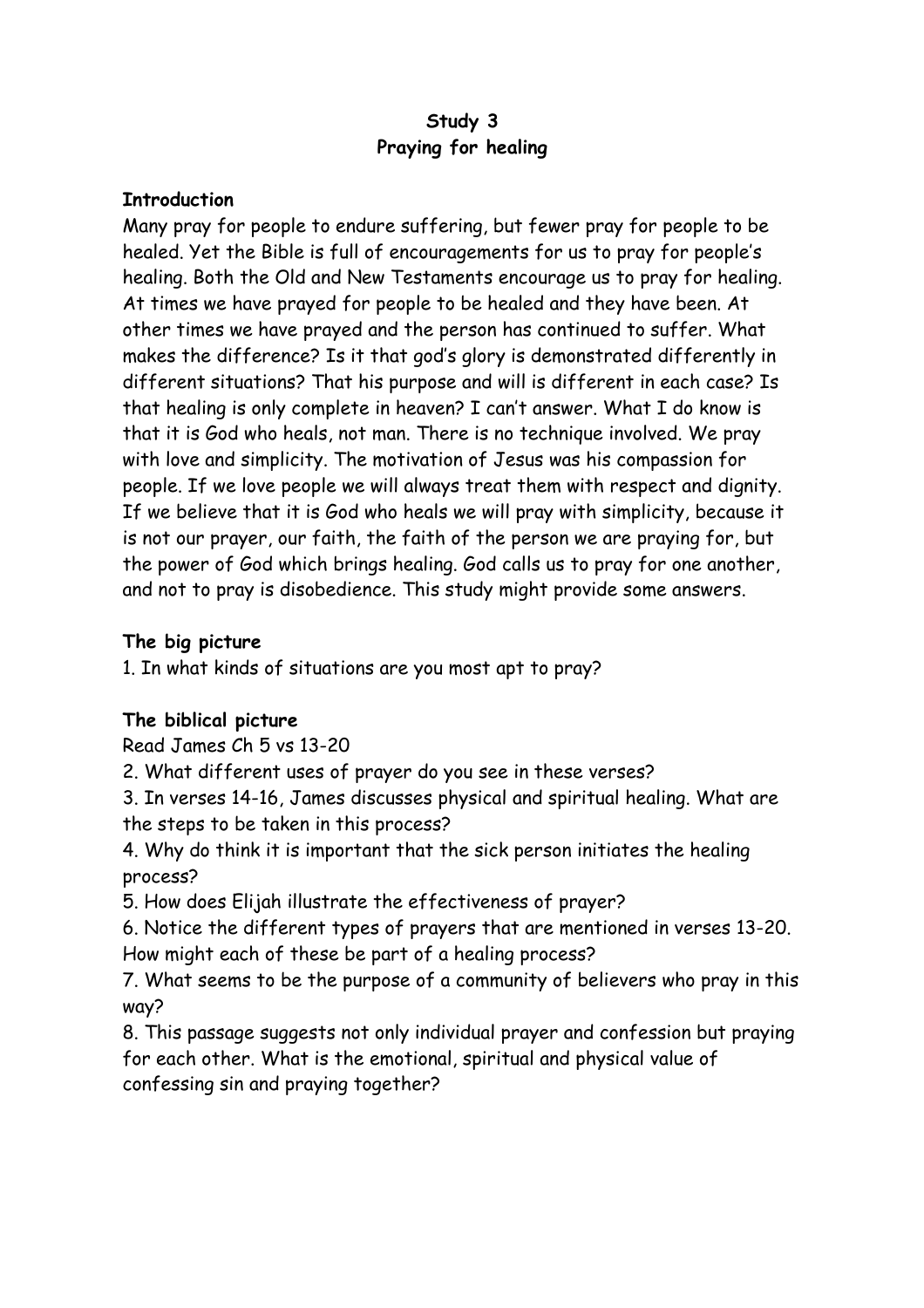### **Study 3 Praying for healing**

#### **Introduction**

Many pray for people to endure suffering, but fewer pray for people to be healed. Yet the Bible is full of encouragements for us to pray for people's healing. Both the Old and New Testaments encourage us to pray for healing. At times we have prayed for people to be healed and they have been. At other times we have prayed and the person has continued to suffer. What makes the difference? Is it that god's glory is demonstrated differently in different situations? That his purpose and will is different in each case? Is that healing is only complete in heaven? I can't answer. What I do know is that it is God who heals, not man. There is no technique involved. We pray with love and simplicity. The motivation of Jesus was his compassion for people. If we love people we will always treat them with respect and dignity. If we believe that it is God who heals we will pray with simplicity, because it is not our prayer, our faith, the faith of the person we are praying for, but the power of God which brings healing. God calls us to pray for one another, and not to pray is disobedience. This study might provide some answers.

### **The big picture**

1. In what kinds of situations are you most apt to pray?

## **The biblical picture**

Read James Ch 5 vs 13-20

2. What different uses of prayer do you see in these verses?

3. In verses 14-16, James discusses physical and spiritual healing. What are the steps to be taken in this process?

4. Why do think it is important that the sick person initiates the healing process?

5. How does Elijah illustrate the effectiveness of prayer?

6. Notice the different types of prayers that are mentioned in verses 13-20. How might each of these be part of a healing process?

7. What seems to be the purpose of a community of believers who pray in this way?

8. This passage suggests not only individual prayer and confession but praying for each other. What is the emotional, spiritual and physical value of confessing sin and praying together?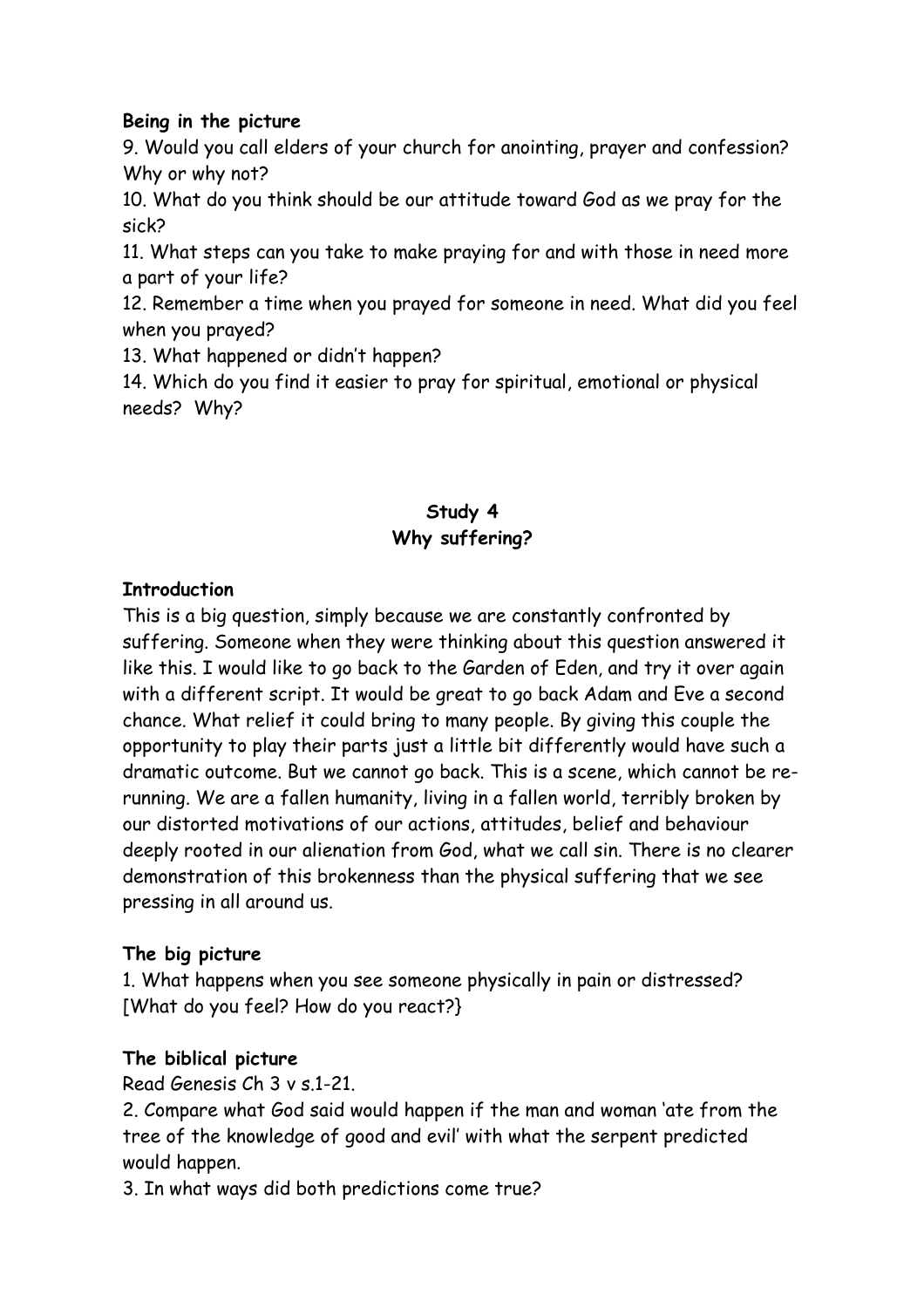#### **Being in the picture**

9. Would you call elders of your church for anointing, prayer and confession? Why or why not?

10. What do you think should be our attitude toward God as we pray for the sick?

11. What steps can you take to make praying for and with those in need more a part of your life?

12. Remember a time when you prayed for someone in need. What did you feel when you prayed?

13. What happened or didn't happen?

14. Which do you find it easier to pray for spiritual, emotional or physical needs? Why?

# **Study 4 Why suffering?**

### **Introduction**

This is a big question, simply because we are constantly confronted by suffering. Someone when they were thinking about this question answered it like this. I would like to go back to the Garden of Eden, and try it over again with a different script. It would be great to go back Adam and Eve a second chance. What relief it could bring to many people. By giving this couple the opportunity to play their parts just a little bit differently would have such a dramatic outcome. But we cannot go back. This is a scene, which cannot be rerunning. We are a fallen humanity, living in a fallen world, terribly broken by our distorted motivations of our actions, attitudes, belief and behaviour deeply rooted in our alienation from God, what we call sin. There is no clearer demonstration of this brokenness than the physical suffering that we see pressing in all around us.

### **The big picture**

1. What happens when you see someone physically in pain or distressed? [What do you feel? How do you react?}

## **The biblical picture**

Read Genesis Ch 3 v s.1-21.

2. Compare what God said would happen if the man and woman 'ate from the tree of the knowledge of good and evil' with what the serpent predicted would happen.

3. In what ways did both predictions come true?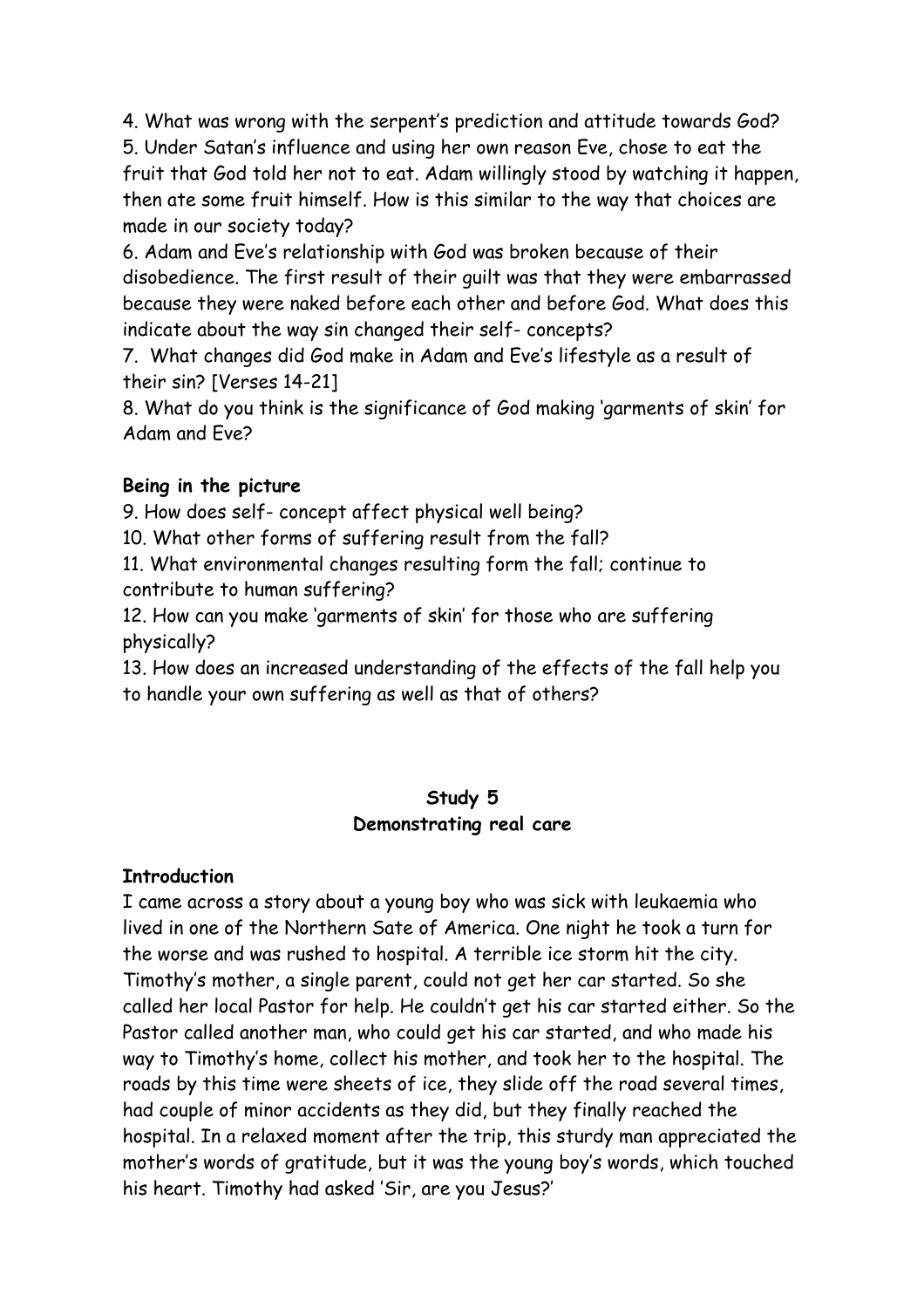4. What was wrong with the serpent's prediction and attitude towards God?

5. Under Satan's influence and using her own reason Eve, chose to eat the fruit that God told her not to eat. Adam willingly stood by watching it happen, then ate some fruit himself. How is this similar to the way that choices are made in our society today?

6. Adam and Eve's relationship with God was broken because of their disobedience. The first result of their guilt was that they were embarrassed because they were naked before each other and before God. What does this indicate about the way sin changed their self- concepts?

7. What changes did God make in Adam and Eve's lifestyle as a result of their sin? [Verses 14-21]

8. What do you think is the significance of God making 'garments of skin' for Adam and Eve?

## **Being in the picture**

9. How does self- concept affect physical well being?

10. What other forms of suffering result from the fall?

11. What environmental changes resulting form the fall; continue to contribute to human suffering?

12. How can you make 'garments of skin' for those who are suffering physically?

13. How does an increased understanding of the effects of the fall help you to handle your own suffering as well as that of others?

## **Study 5 Demonstrating real care**

## **Introduction**

I came across a story about a young boy who was sick with leukaemia who lived in one of the Northern Sate of America. One night he took a turn for the worse and was rushed to hospital. A terrible ice storm hit the city. Timothy's mother, a single parent, could not get her car started. So she called her local Pastor for help. He couldn't get his car started either. So the Pastor called another man, who could get his car started, and who made his way to Timothy's home, collect his mother, and took her to the hospital. The roads by this time were sheets of ice, they slide off the road several times, had couple of minor accidents as they did, but they finally reached the hospital. In a relaxed moment after the trip, this sturdy man appreciated the mother's words of gratitude, but it was the young boy's words, which touched his heart. Timothy had asked 'Sir, are you Jesus?'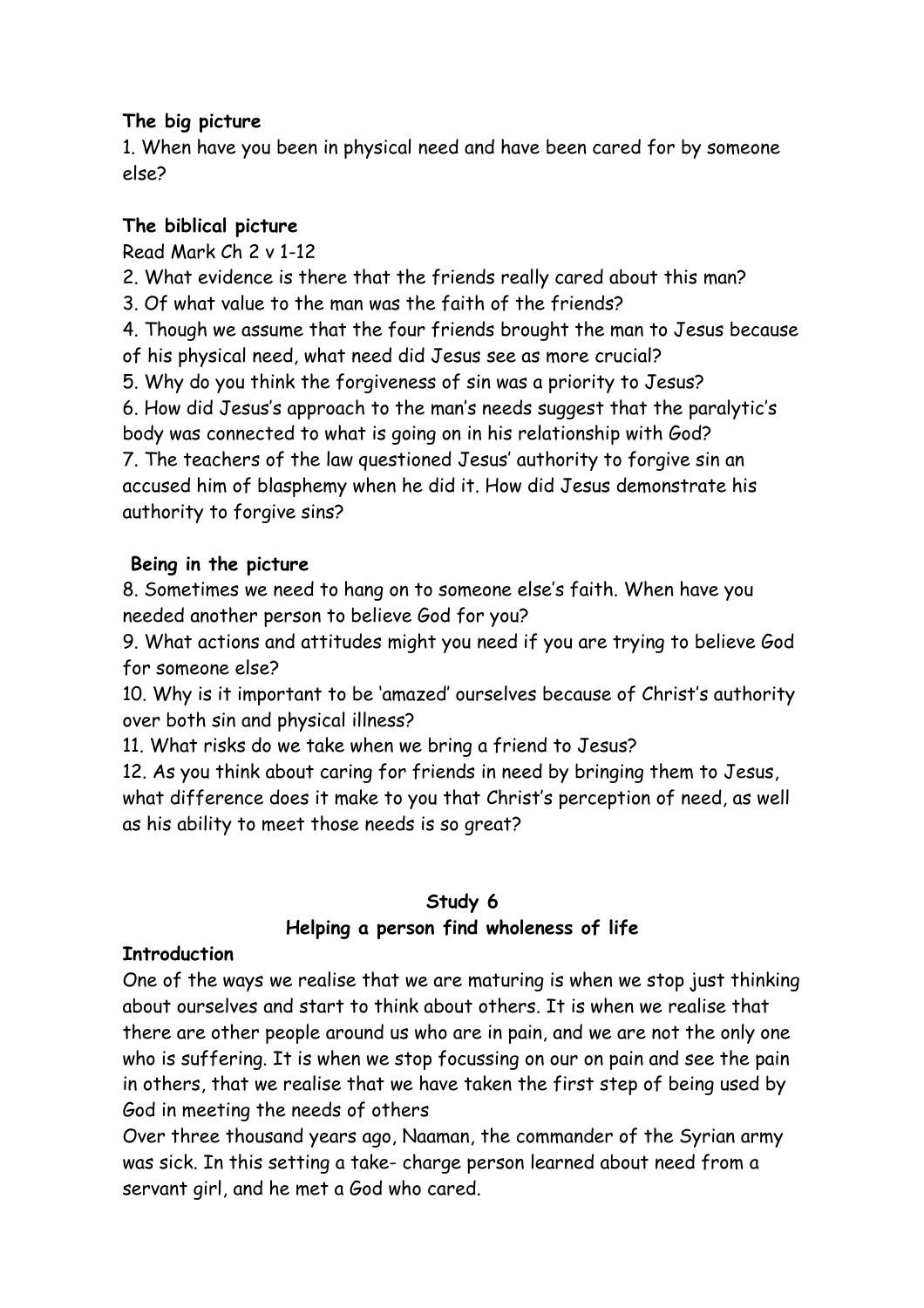### **The big picture**

1. When have you been in physical need and have been cared for by someone else?

## **The biblical picture**

Read Mark Ch 2 v 1-12

2. What evidence is there that the friends really cared about this man?

3. Of what value to the man was the faith of the friends?

4. Though we assume that the four friends brought the man to Jesus because of his physical need, what need did Jesus see as more crucial?

5. Why do you think the forgiveness of sin was a priority to Jesus?

6. How did Jesus's approach to the man's needs suggest that the paralytic's body was connected to what is going on in his relationship with God?

7. The teachers of the law questioned Jesus' authority to forgive sin an accused him of blasphemy when he did it. How did Jesus demonstrate his authority to forgive sins?

## **Being in the picture**

8. Sometimes we need to hang on to someone else's faith. When have you needed another person to believe God for you?

9. What actions and attitudes might you need if you are trying to believe God for someone else?

10. Why is it important to be 'amazed' ourselves because of Christ's authority over both sin and physical illness?

11. What risks do we take when we bring a friend to Jesus?

12. As you think about caring for friends in need by bringing them to Jesus, what difference does it make to you that Christ's perception of need, as well as his ability to meet those needs is so great?

## **Study 6 Helping a person find wholeness of life**

## **Introduction**

One of the ways we realise that we are maturing is when we stop just thinking about ourselves and start to think about others. It is when we realise that there are other people around us who are in pain, and we are not the only one who is suffering. It is when we stop focussing on our on pain and see the pain in others, that we realise that we have taken the first step of being used by God in meeting the needs of others

Over three thousand years ago, Naaman, the commander of the Syrian army was sick. In this setting a take- charge person learned about need from a servant girl, and he met a God who cared.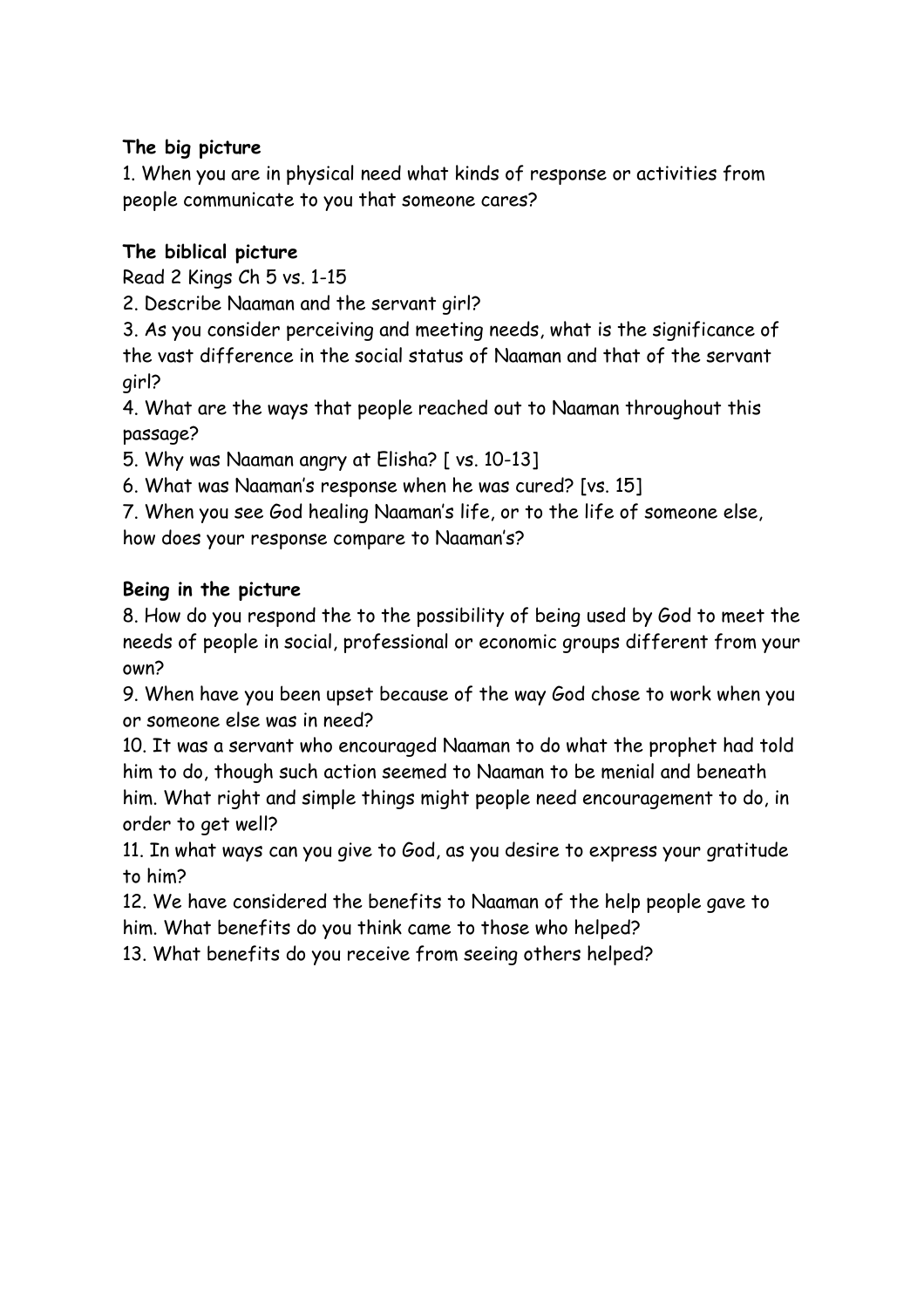### **The big picture**

1. When you are in physical need what kinds of response or activities from people communicate to you that someone cares?

### **The biblical picture**

Read 2 Kings Ch 5 vs. 1-15

2. Describe Naaman and the servant girl?

3. As you consider perceiving and meeting needs, what is the significance of the vast difference in the social status of Naaman and that of the servant girl?

4. What are the ways that people reached out to Naaman throughout this passage?

5. Why was Naaman angry at Elisha? [ vs. 10-13]

6. What was Naaman's response when he was cured? [vs. 15]

7. When you see God healing Naaman's life, or to the life of someone else, how does your response compare to Naaman's?

### **Being in the picture**

8. How do you respond the to the possibility of being used by God to meet the needs of people in social, professional or economic groups different from your own?

9. When have you been upset because of the way God chose to work when you or someone else was in need?

10. It was a servant who encouraged Naaman to do what the prophet had told him to do, though such action seemed to Naaman to be menial and beneath him. What right and simple things might people need encouragement to do, in order to get well?

11. In what ways can you give to God, as you desire to express your gratitude to him?

12. We have considered the benefits to Naaman of the help people gave to him. What benefits do you think came to those who helped?

13. What benefits do you receive from seeing others helped?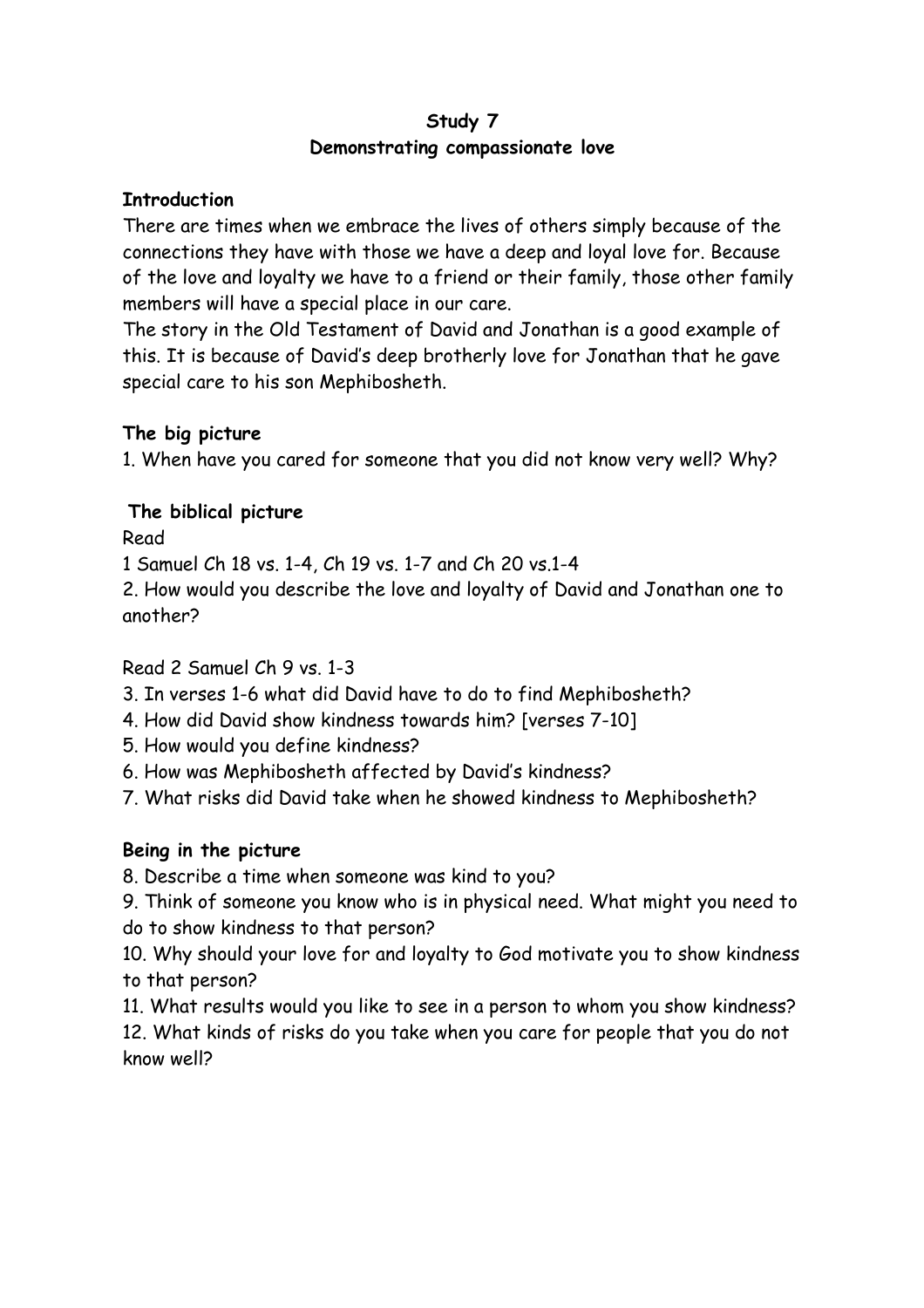#### **Study 7 Demonstrating compassionate love**

#### **Introduction**

There are times when we embrace the lives of others simply because of the connections they have with those we have a deep and loyal love for. Because of the love and loyalty we have to a friend or their family, those other family members will have a special place in our care.

The story in the Old Testament of David and Jonathan is a good example of this. It is because of David's deep brotherly love for Jonathan that he gave special care to his son Mephibosheth.

### **The big picture**

1. When have you cared for someone that you did not know very well? Why?

### **The biblical picture**

Read

1 Samuel Ch 18 vs. 1-4, Ch 19 vs. 1-7 and Ch 20 vs.1-4

2. How would you describe the love and loyalty of David and Jonathan one to another?

### Read 2 Samuel Ch 9 vs. 1-3

3. In verses 1-6 what did David have to do to find Mephibosheth?

- 4. How did David show kindness towards him? [verses 7-10]
- 5. How would you define kindness?
- 6. How was Mephibosheth affected by David's kindness?

7. What risks did David take when he showed kindness to Mephibosheth?

## **Being in the picture**

8. Describe a time when someone was kind to you?

9. Think of someone you know who is in physical need. What might you need to do to show kindness to that person?

10. Why should your love for and loyalty to God motivate you to show kindness to that person?

11. What results would you like to see in a person to whom you show kindness?

12. What kinds of risks do you take when you care for people that you do not know well?